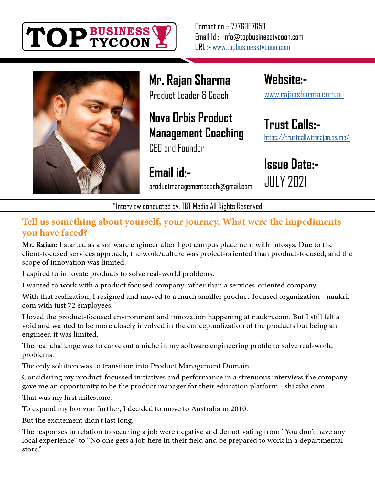

Contact no :- 7776067659 Email Id :- info@topbusinesstycoon.com URL :- [www.topbusinesstycoon.com](https://www.topbusinesstycoon.com/)



**Mr. Rajan Sharma** Product Leader & Coach

### **Nova Orbis Product Management Coaching**

CEO and Founder

**Email id:** productmanagementcoach@gmail.com **Website:** [www.rajansharma.com.au](http://www.rajansharma.com.au)

**[Trust Calls:](https://trustcallwithrajan.as.me/)** https://trustcallwithrajan.as.me/

**Issue Date:-** JULY 2021

\*Interview conducted by: TBT Media All Rights Reserved

#### **Tell us something about yourself, your journey. What were the impediments you have faced?**

**Mr. Rajan:** I started as a software engineer after I got campus placement with Infosys. Due to the client-focused services approach, the work/culture was project-oriented than product-focused, and the scope of innovation was limited.

I aspired to innovate products to solve real-world problems.

I wanted to work with a product focused company rather than a services-oriented company.

With that realization, I resigned and moved to a much smaller product-focused organization - naukri. com with just 72 employees.

I loved the product-focused environment and innovation happening at naukri.com. But I still felt a void and wanted to be more closely involved in the conceptualization of the products but being an engineer, it was limited.

The real challenge was to carve out a niche in my software engineering profile to solve real-world problems.

The only solution was to transition into Product Management Domain.

Considering my product-focussed initiatives and performance in a strenuous interview, the company gave me an opportunity to be the product manager for their education platform - shiksha.com.

That was my first milestone.

To expand my horizon further, I decided to move to Australia in 2010.

But the excitement didn't last long.

The responses in relation to securing a job were negative and demotivating from "You don't have any local experience" to "No one gets a job here in their field and be prepared to work in a departmental store."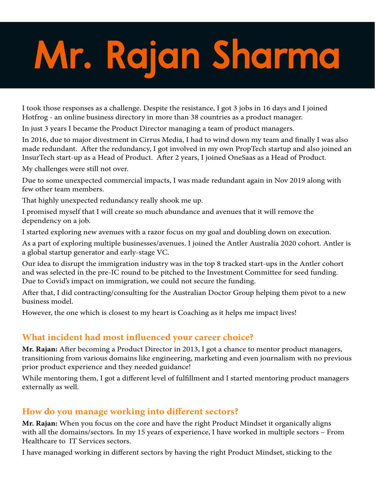# **Mr. Rajan Sharma**

I took those responses as a challenge. Despite the resistance, I got 3 jobs in 16 days and I joined Hotfrog - an online business directory in more than 38 countries as a product manager.

In just 3 years I became the Product Director managing a team of product managers.

In 2016, due to major divestment in Cirrus Media, I had to wind down my team and finally I was also made redundant. After the redundancy, I got involved in my own PropTech startup and also joined an InsurTech start-up as a Head of Product. After 2 years, I joined OneSaas as a Head of Product.

My challenges were still not over.

Due to some unexpected commercial impacts, I was made redundant again in Nov 2019 along with few other team members.

That highly unexpected redundancy really shook me up.

I promised myself that I will create so much abundance and avenues that it will remove the dependency on a job.

I started exploring new avenues with a razor focus on my goal and doubling down on execution.

As a part of exploring multiple businesses/avenues. I joined the Antler Australia 2020 cohort. Antler is a global startup generator and early-stage VC.

Our idea to disrupt the immigration industry was in the top 8 tracked start-ups in the Antler cohort and was selected in the pre-IC round to be pitched to the Investment Committee for seed funding. Due to Covid's impact on immigration, we could not secure the funding.

After that, I did contracting/consulting for the Australian Doctor Group helping them pivot to a new business model.

However, the one which is closest to my heart is Coaching as it helps me impact lives!

#### **What incident had most influenced your career choice?**

**Mr. Rajan:** After becoming a Product Director in 2013, I got a chance to mentor product managers, transitioning from various domains like engineering, marketing and even journalism with no previous prior product experience and they needed guidance!

While mentoring them, I got a different level of fulfillment and I started mentoring product managers externally as well.

#### **How do you manage working into different sectors?**

**Mr. Rajan:** When you focus on the core and have the right Product Mindset it organically aligns with all the domains/sectors. In my 15 years of experience, I have worked in multiple sectors – From Healthcare to IT Services sectors.

I have managed working in different sectors by having the right Product Mindset, sticking to the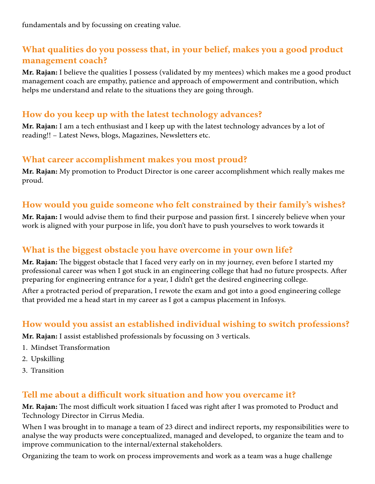#### **What qualities do you possess that, in your belief, makes you a good product management coach?**

**Mr. Rajan:** I believe the qualities I possess (validated by my mentees) which makes me a good product management coach are empathy, patience and approach of empowerment and contribution, which helps me understand and relate to the situations they are going through.

#### **How do you keep up with the latest technology advances?**

**Mr. Rajan:** I am a tech enthusiast and I keep up with the latest technology advances by a lot of reading!! – Latest News, blogs, Magazines, Newsletters etc.

#### **What career accomplishment makes you most proud?**

**Mr. Rajan:** My promotion to Product Director is one career accomplishment which really makes me proud.

#### **How would you guide someone who felt constrained by their family's wishes?**

**Mr. Rajan:** I would advise them to find their purpose and passion first. I sincerely believe when your work is aligned with your purpose in life, you don't have to push yourselves to work towards it

#### **What is the biggest obstacle you have overcome in your own life?**

**Mr. Rajan:** The biggest obstacle that I faced very early on in my journey, even before I started my professional career was when I got stuck in an engineering college that had no future prospects. After preparing for engineering entrance for a year, I didn't get the desired engineering college.

After a protracted period of preparation, I rewote the exam and got into a good engineering college that provided me a head start in my career as I got a campus placement in Infosys.

#### **How would you assist an established individual wishing to switch professions?**

**Mr. Rajan:** I assist established professionals by focussing on 3 verticals.

- 1. Mindset Transformation
- 2. Upskilling
- 3. Transition

#### **Tell me about a difficult work situation and how you overcame it?**

**Mr. Rajan:** The most difficult work situation I faced was right after I was promoted to Product and Technology Director in Cirrus Media.

When I was brought in to manage a team of 23 direct and indirect reports, my responsibilities were to analyse the way products were conceptualized, managed and developed, to organize the team and to improve communication to the internal/external stakeholders.

Organizing the team to work on process improvements and work as a team was a huge challenge